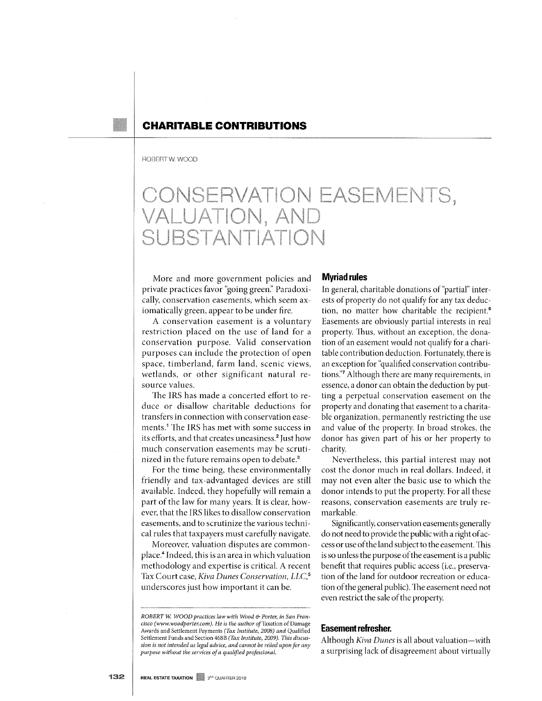# **CHARITABLE CONTRIBUTIONS**

#### ROBERT W. WOOD

# CONSERVATION EASEMENTS,<br>VALUATION, AND SUBSTANTIATION

More and more government policies and private practices favor "going green:' Paradoxically, conservation easements, which seem axiomatically green, appear to be under fire.

A conservation easement is a voluntary restriction placed on the use of land for a conservation purpose. Valid conservation purposes can include the protection of open space, timberland, farm land, scenic views, wetlands, or other significant natural resource values.

The IRS has made a concerted effort to reduce or disallow charitable deductions for transfers in connection with conservation easements.<sup>1</sup> The IRS has met with some success in its efforts, and that creates uneasiness.<sup>2</sup> Just how much conservation easements may be scrutinized in the future remains open to debate.<sup>3</sup>

For the time being, these environmentally friendly and tax-advantaged devices are still available. Indeed, they hopefully will remain a part of the law for many years. It is clear, however, that the IRS likes to disallow conservation easements, and to scrutinize the various technical rules that taxpayers must carefully navigate.

Moreover, valuation disputes are commonplace.4 Indeed, this is an area in which valuation methodology and expertise is critical. A recent Tax Court case, *Kiva Dunes Conservation*, *LLC*,<sup>5</sup> underscores just how important it can be.

#### **Myriad rules**

In general, charitable donations of "partial" interests of property do not qualify for any tax deduction, no matter how charitable the recipient.<sup>6</sup> Easements are obviously partial interests in real property. Thus, without an exception, the donation of an easement would not qualify for a charitable contribution deduction. Fortunately, there is an exception for "qualified conservation contributions:'7 Although there are many requirements, in essence, a donor can obtain the deduction by putting a perpetual conservation easement on the property and donating that easement to a charitable organization, permanently restricting the use and value of the property. In broad strokes, the donor has given part of his or her property to charity.

Nevertheless, this partial interest may not cost the donor much in real dollars. Indeed, it may not even alter the basic use to which the donor intends to put the property. For all these reasons, conservation easements are truly remarkable.

Significantly, conservation easements generally do not need to provide the public with a right of access or use of the land subject to the easement. This is so unless the purpose of the easement is a public benefit that requires public access (i.e., preservation of the land for outdoor recreation or education of the general public). The easement need not even restrict the sale of the property.

#### **Easement refresher.**

Although *Kiva Dunes* is all about valuation-with a surprising lack of disagreement about virtually

*ROBERT W WOOD practices law with Wood* & *Porter, in San Francisco* ( *www.woodporter.com).* He *is the author of* Taxation of *Damage*  Awards and Settlement Payments *(Tax Instiiute, 2008) and* Qualified Settlement Funds and Section 468B *(Tax Institute, 2009). This discussion is not intended as legal advice, and cannot be relied upon for any purpose without the services of a qualified professional.*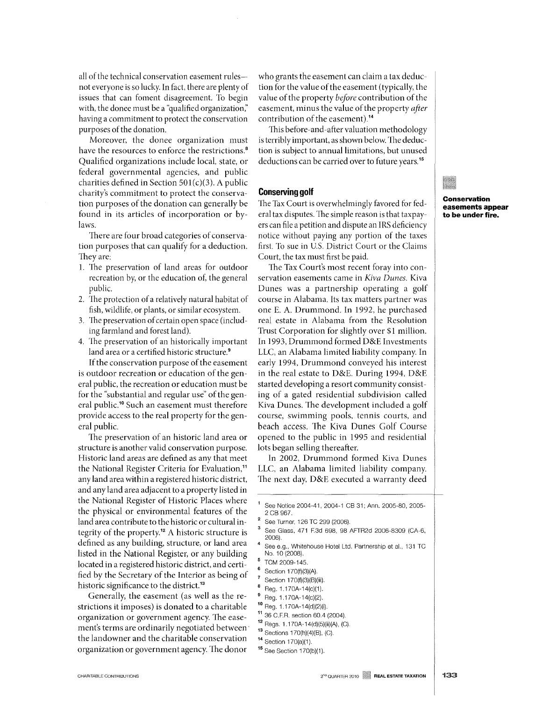all of the technical conservation easement rulesnot everyone is so lucky. In fact, there are plenty of issues that can foment disagreement. To begin with, the donee must be a "qualified organization," having a commitment to protect the conservation purposes of the donation.

Moreover, the donee organization must have the resources to enforce the restrictions.<sup>8</sup> Qualified organizations include local, state, or federal governmental agencies, and public charities defined in Section 501(c)(3). A public charity's commitment to protect the conservation purposes of the donation can generally be found in its articles of incorporation or bylaws.

There are four broad categories of conservation purposes that can qualify for a deduction. They are:

- 1. The preservation of land areas for outdoor recreation by, or the education of, the general public.
- 2. The protection of a relatively natural habitat of fish, wildlife, or plants, or similar ecosystem.
- 3. The preservation of certain open space (including farmland and forest land).
- 4. The preservation of an historically important land area or a certified historic structure.<sup>9</sup>

If the conservation purpose of the easement is outdoor recreation or education of the general public, the recreation or education must be for the "substantial and regular use" of the general public.10 Such an easement must therefore provide access to the real property for the general public.

The preservation of an historic land area or structure is another valid conservation purpose. Historic land areas are defined as any that meet the National Register Criteria for Evaluation,<sup>11</sup> any land area within a registered historic district, and any land area adjacent to a property listed in the National Register of Historic Places where the physical or environmental features of the land area contribute to the historic or cultural integrity of the property.<sup>12</sup> A historic structure is defined as any building, structure, or land area listed in the National Register, or any building located in a registered historic district, and certified by the Secretary of the Interior as being of historic significance to the district.<sup>13</sup>

Generally, the easement (as well as the restrictions it imposes) is donated to a charitable organization or government agency. The easement's terms are ordinarily negotiated between' the landowner and the charitable conservation organization or government agency. The donor who grants the easement can claim a tax deduction for the value of the easement (typically, the value of the property *before* contribution of the easement, minus the value of the property *after*  contribution of the easement).14

This before-and-after valuation methodology is terribly important, as shown below. The deduction is subject to annual limitations, but unused deductions can be carried over to future years.<sup>15</sup>

#### **Conserving golf**

The Tax Court is overwhelmingly favored for federal tax disputes. The simple reason is that taxpayers can file a petition and dispute an IRS deficiency notice without paying any portion of the taxes first. To sue in U.S. District Court or the Claims Court, the tax must first be paid.

The Tax Court's most recent foray into conservation easements came in *Kiva Dunes.* Kiva Dunes was a partnership operating a golf course in Alabama. Its tax matters partner was one E. A. Drummond. In 1992, he purchased real estate in Alabama from the Resolution Trust Corporation for slightly over \$1 million. In 1993, Drummond formed D&E Investments LLC, an Alabama limited liability company. In early 1994, Drummond conveyed his interest in the real estate to D&E. During 1994, D&E started developing a resort community consisting of a gated residential subdivision called Kiva Dunes. The development included a golf course, swimming pools, tennis courts, and beach access. The Kiva Dunes Golf Course opened to the public in 1995 and residential lots began selling thereafter.

In 2002, Drummond formed Kiva Dunes LLC, an Alabama limited liability company. The next day, D&E executed a warranty deed

- See Turner, 126 TC 299 (2006).
- See Glass, 471 F.3d 698, 98 AFTR2d 2006-8309 (CA-6, 2006).
- See e.9., Whitehouse Hotel Ltd. Partnership et aI., 131 TC No. 10 (2008).
- TCM 2009-145.
- Section 170(f)(3)(A).
- Section 170(f)(3)(B)(iii).
- Re9.1.170A-14(c)(1).
- Re9. 1.170A-14(c)(2).
- 10 Reg. 1.170A-14(d)(2)(i).
- 11 36 C.F.R. section 60.4 (2004).
- 12 Regs. 1.170A-14(d)(5)(ii)(AJ, (C).
- 13 Sections 170(h)(4)(B), (C).
- 14 Section 170(a)(1).
	- 15 See Section 170(b)(1).

**Conservation easements appear to be under fire.** 

See Notice 2004-41, 2004-1 CB 31; Ann. 2005-80, 2005- 2 CB 967.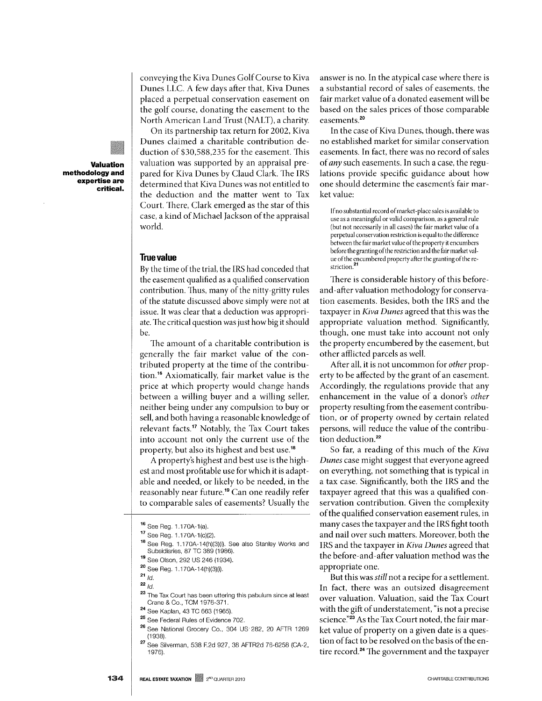conveying the Kiva Dunes Golf Course to Kiva Dunes LLC. A few days after that, Kiva Dunes placed a perpetual conservation easement on the golf course, donating the easement to the North American Land Trust (NALT), a charity.

On its partnership tax return for 2002, Kiva Dunes claimed a charitable contribution deduction of \$30,588,235 for the easement. This valuation was supported by an appraisal prepared for Kiva Dunes by Claud Clark. 'The IRS determined that Kiva Dunes was not entitled to the deduction and the matter went to Tax Court. There, Clark emerged as the star of this case, a kind of Michael Jackson of the appraisal world.

#### True value

By the time of the trial, the IRS had conceded that the easement qualified as a qualified conservation contribution. Thus, many of the nitty-gritty rules of the statute discussed above simply were not at issue. It was clear that a deduction was appropriate. The critical question was just how big it should be.

The amount of a charitable contribution is generally the fair market value of the contributed property at the time of the contribution. 16 Axiomatically, fair market value is the price at which property would change hands between a willing buyer and a willing seller, neither being under any compulsion to buy or sell, and both having a reasonable knowledge of relevant facts.17 Notably, the Tax Court takes into account not only the current use of the property, but also its highest and best use.<sup>18</sup>

A property's highest and best use is the highest and most profitable use for which it is adaptable and needed, or likely to be needed, in the reasonably near future. 19 Can one readily refer to comparable sales of easements? Usually the

- 18 See Reg. 1 .170A-14(h)(3)(i). See also Stanley Works and Subsidiaries, 87 TC 389 (1986).
- 19 See Olson, 292 US 246 (1934).
- 20 See Reg. 1.170A-14(h)(3)(i).

- $22/d$
- 23 The Tax Court has been uttering this pabulum since at least Crane & Co., TCM 1976-371.
- 24 See Kaplan, 43 TC 663 (1965).
- 25 See Federal Rules of Evidence 702.
- 26 See National Grocery Co., 304 US' 282, 20 AFTR 1269 (1938).
- 27 See Silverman, 538 F.2d 927, 38 AFTR2d 76-6258 (CA-2, 1976).

answer is no. In the atypical case where there is a substantial record of sales of easements, the fair market value of a donated easement will be based on the sales prices of those comparable easements.20

In the case of Kiva Dunes, though, there was no established market for similar conservation easements. In fact, there was no record of sales of *any* such easements. In such a case, the regulations provide specific guidance about how one should determine the easement's fair market value:

If no substantial record of market -place sales is available to use as a meaningful or valid comparison, as a general rule (but not necessarily in all cases) the fair market value of a perpetual conservation restriction is equal to the difference between the fair market value of the property it encumbers before the granting of the restriction and the fair market value of the encumbered property after the granting of the restriction.

There is considerable history of this beforeand -after valuation methodology for conservation easements. Besides, both the IRS and the taxpayer in *Kiva Dunes* agreed that this was the appropriate valuation method. Significantly, though, one must take into account not only the property encumbered by the easement, but other afflicted parcels as well.

After all, it is not uncommon for *other* property to be affected by the grant of an easement. Accordingly, the regulations provide that any enhancement in the value of a donor's *other*  property resulting from the easement contribution, or of property owned by certain related persons, will reduce the value of the contribution deduction.<sup>22</sup>

So far, a reading of this much of the *Kiva Dunes* case might suggest that everyone agreed on everything, not something that is typical in a tax case. Significantly, both the IRS and the taxpayer agreed that this was a qualified conservation contribution. Given the complexity of the qualified conservation easement rules, in many cases the taxpayer and the IRS fight tooth and nail over such matters. Moreover, both the IRS and the taxpayer in *Kiva Dunes* agreed that the before-and-after valuation method was the appropriate one.

But this was *still* not a recipe for a settlement. In fact, there was an outsized disagreement over valuation. Valuation, said the Tax Court with the gift of understatement, "is not a precise science."<sup>23</sup> As the Tax Court noted, the fair market value of property on a given date is a question of fact to be resolved on the basis of the entire record.<sup>24</sup> The government and the taxpayer

**methodology and expertise are critical.** 

**Valuation** 

<sup>16</sup> See Reg. 1.170A-1(a).

<sup>17</sup> See Reg. 1.170A-1(c)(2).

 $^{21}$   $/d.$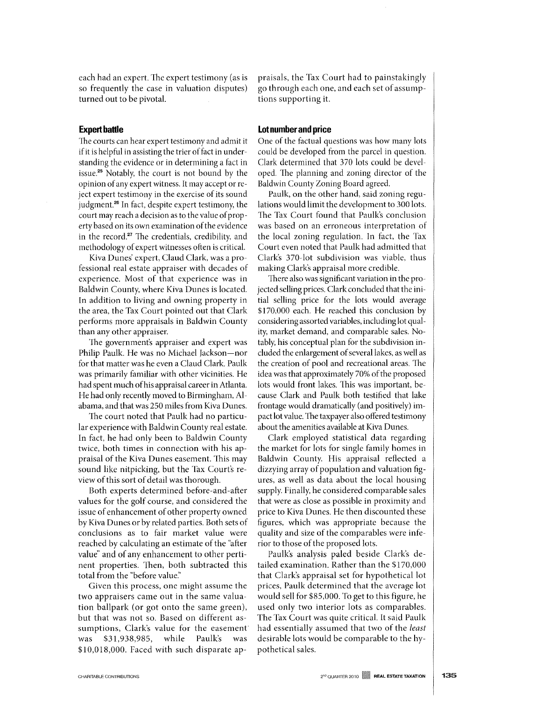each had an expert. The expert testimony (as is so frequently the case in valuation disputes) turned out to be pivotal.

#### **Expert battle**

The courts can hear expert testimony and admit it if it is helpful in assisting the trier of fact in understanding the evidence or in determining a fact in issue.25 Notably, the court is not bound by the opinion of any expert witness. It may accept or reject expert testimony in the exercise of its sound judgment.<sup>26</sup> In fact, despite expert testimony, the court may reach a decision as to the value of property based on its own examination of the evidence in the record.<sup>27</sup> The credentials, credibility, and methodology of expert witnesses often is critical.

Kiva Dunes' expert, Claud Clark, was a professional real estate appraiser with decades of experience. Most of that experience was in Baldwin County, where Kiva Dunes is located. In addition to living and owning property in the area, the Tax Court pointed out that Clark performs more appraisals in Baldwin County than any other appraiser.

The government's appraiser and expert was Philip Paulk. He was no Michael Jackson-nor for that matter was he even a Claud Clark. Paulk was primarily familiar with other vicinities. He had spent much of his appraisal career in Atlanta. He had only recently moved to Birmingham, Alabama, and that was 250 miles from Kiva Dunes.

The court noted that Paulk had no particular experience with Baldwin County real estate. In fact, he had only been to Baldwin County twice, both times in connection with his appraisal of the Kiva Dunes easement. This may sound like nitpicking, but the Tax Court's review of this sort of detail was thorough.

Both experts determined before-and-after values for the golf course, and considered the issue of enhancement of other property owned by Kiva Dunes or by related parties. Both sets of conclusions as to fair market value were reached by calculating an estimate of the "after value" and of any enhancement to other pertinent properties. Then, both subtracted this total from the "before value."

Given this process, one might assume the two appraisers came out in the same valuation ballpark (or got onto the same green), but that was not so. Based on different assumptions, Clark's value for the easement· was \$31,938,985, while Paulk's was \$10,018,000. Faced with such disparate appraisals, the Tax Court had to painstakingly go through each one, and each set of assumptions supporting it.

#### **Lot number and price**

One of the factual questions was how many lots could be developed from the parcel in question. Clark determined that 370 lots could be developed. The planning and zoning director of the Baldwin County Zoning Board agreed.

Paulk, on the other hand, said zoning regulations would limit the development to 300 lots. The Tax Court found that Paulk's conclusion was based on an erroneous interpretation of the local zoning regulation. In fact, the Tax Court even noted that Paulk had admitted that Clark's 370-lot subdivision was viable, thus making Clark's appraisal more credible.

There also was significant variation in the projected selling prices. Clark concluded that the initial selling price for the lots would average \$170,000 each. He reached this conclusion by considering assorted variables, including lot quality, market demand, and comparable sales. Notably, his conceptual plan for the subdivision included the enlargement of several lakes, as well as the creation of pool and recreational areas. The idea was that approximately 70% of the proposed lots would front lakes. This was important, because Clark and Paulk both testified that lake frontage would dramatically (and positively) impact lot value. The taxpayer also offered testimony about the amenities available at Kiva Dunes.

Clark employed statistical data regarding the market for lots for single family homes in Baldwin County. His appraisal reflected a dizzying array of population and valuation figures, as well as data about the local housing supply. Finally, he considered comparable sales that were as close as possible in proximity and price to Kiva Dunes. He then discounted these figures, which was appropriate because the quality and size of the comparables were inferior to those of the proposed lots.

Paulk's analysis paled beside Clark's detailed examination. Rather than the \$170,000 that Clark's appraisal set for hypothetical lot prices, Paulk determined that the average lot would sell for \$85,000. To get to this figure, he used only two interior lots as comparables. The Tax Court was quite critical. It said Paulk had essentially assumed that two of the *least*  desirable lots would be comparable to the hypothetical sales.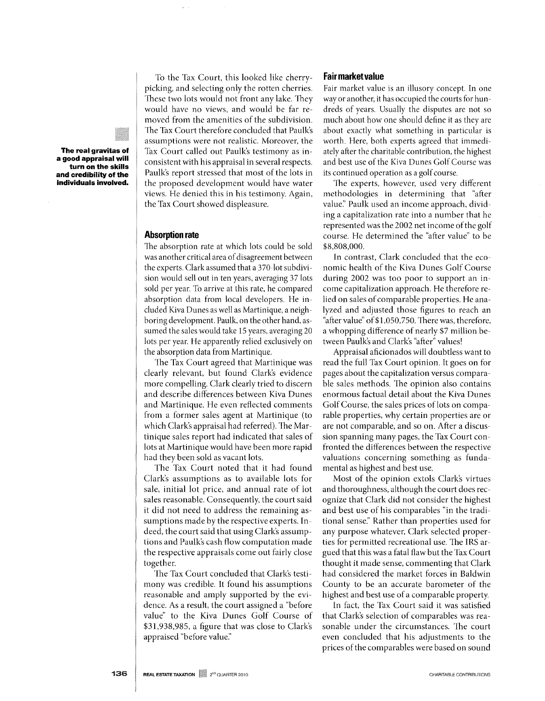**The real gravitas of a good appraisal will turn on the skills and credibility of the individuals involved.** 

To the Tax Court, this looked like cherrypicking, and selecting only the rotten cherries. These two lots would not front any lake. They would have no views, and would be far removed from the amenities of the subdivision. The Tax Court therefore concluded that Paulk's assumptions were not realistic. Moreover, the Tax Court called out Paulk's testimony as inconsistent with his appraisal in several respects. Paulk's report stressed that most of the lots in the proposed development would have water views. He denied this in his testimony. Again, the Tax Court showed displeasure.

## **Absorption rate**

The absorption rate at which lots could be sold was another critical area of disagreement between the experts. Clark assumed that a 370-10t subdivision would sell out in ten years, averaging 37 lots sold per year. To arrive at this rate, he compared absorption data from local developers. He included Kiva Dunes as well as Martinique, a neighboring development. Paulk, on the other hand, assumed the sales would take 15 years, averaging 20 lots per year. He apparently relied exclusively on the absorption data from Martinique.

The Tax Court agreed that Martinique was clearly relevant, but found Clark's evidence more compelling. Clark clearly tried to discern and describe differences between Kiva Dunes and Martinique. He even reflected comments from a former sales agent at Martinique (to which Clark's appraisal had referred). The Martinique sales report had indicated that sales of lots at Martinique would have been more rapid had they been sold as vacant lots.

The Tax Court noted that it had found Clark's assumptions as to available lots for sale, initial lot price, and annual rate of lot sales reasonable. Consequently, the court said it did not need to address the remaining assumptions made by the respective experts. Indeed, the court said that using Clark's assumptions and Paulk's cash flow computation made the respective appraisals come out fairly close together.

The Tax Court concluded that Clark's testimony was credible. It found his assumptions reasonable and amply supported by the evidence. As a result, the court assigned a "before" value" to the Kiva Dunes Golf Course of \$31,938,985, a figure that was close to Clark's appraised "before value:'

### **Fair market value**

Fair market value is an illusory concept. In one way or another, it has occupied the courts for hundreds of years. Usually the disputes are not so much about how one should define it as they are about exactly what something in particular is worth. Here, both experts agreed that immediately after the charitable contribution, the highest and best use of the Kiva Dunes Golf Course was its continued operation as a golf course.

The experts, however, used very different methodologies in determining that "after value:' Paulk used an income approach, dividing a capitalization rate into a number that he represented was the 2002 net income of the golf course. He determined the "after value" to be \$8,808,000.

In contrast, Clark concluded that the economic health of the Kiva Dunes Golf Course during 2002 was too poor to support an income capitalization approach. He therefore relied on sales of comparable properties. He ana-1yzed and adjusted those figures to reach an "after value" of\$I,050,750. There was, therefore, a whopping difference of nearly \$7 million between Paulk's and Clark's "after" values!

Appraisal aficionados will doubtless want to read the full Tax Court opinion. It goes on for pages about the capitalization versus comparable sales methods. The opinion also contains enormous factual detail about the Kiva Dunes Golf Course, the sales prices of lots on comparable properties, why certain properties are or are not comparable, and so on. After a discussion spanning many pages, the Tax Court confronted the differences between the respective valuations concerning something as fundamental as highest and best use.

Most of the opinion extols Clark's virtues and thoroughness, although the court does recognize that Clark did not consider the highest and best use of his comparables "in the traditional sense:' Rather than properties used for any purpose whatever, Clark selected properties for permitted recreational use. The IRS argued that this was a fatal flaw but the Tax Court thought it made sense, commenting that Clark had considered the market forces in Baldwin County to be an accurate barometer of the highest and best use of a comparable property.

In fact, the Tax Court said it was satisfied that Clark's selection of comparables was reasonable under the circumstances. The court even concluded that his adjustments to the prices of the comparables were based on sound